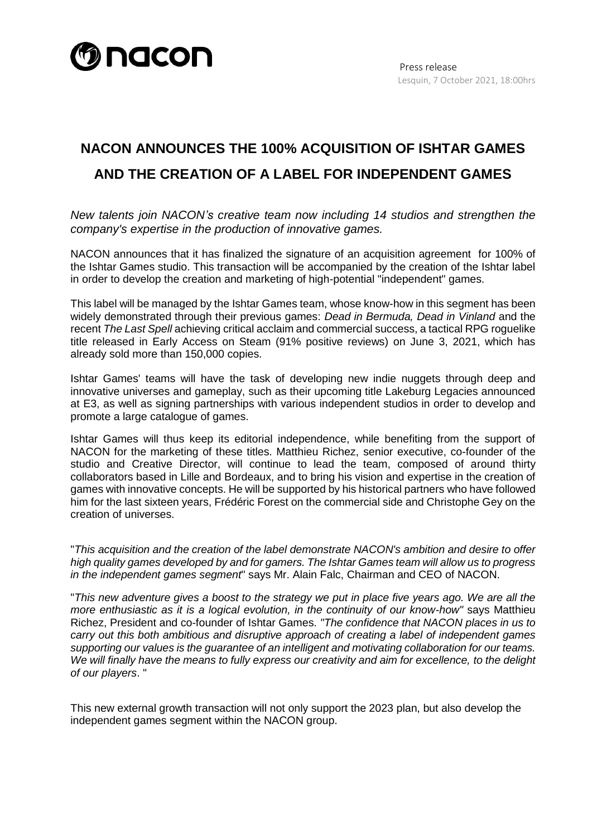

## **NACON ANNOUNCES THE 100% ACQUISITION OF ISHTAR GAMES AND THE CREATION OF A LABEL FOR INDEPENDENT GAMES**

*New talents join NACON's creative team now including 14 studios and strengthen the company's expertise in the production of innovative games.*

NACON announces that it has finalized the signature of an acquisition agreement for 100% of the Ishtar Games studio. This transaction will be accompanied by the creation of the Ishtar label in order to develop the creation and marketing of high-potential "independent" games.

This label will be managed by the Ishtar Games team, whose know-how in this segment has been widely demonstrated through their previous games: *Dead in Bermuda, Dead in Vinland* and the recent *The Last Spell* achieving critical acclaim and commercial success, a tactical RPG roguelike title released in Early Access on Steam (91% positive reviews) on June 3, 2021, which has already sold more than 150,000 copies.

Ishtar Games' teams will have the task of developing new indie nuggets through deep and innovative universes and gameplay, such as their upcoming title Lakeburg Legacies announced at E3, as well as signing partnerships with various independent studios in order to develop and promote a large catalogue of games.

Ishtar Games will thus keep its editorial independence, while benefiting from the support of NACON for the marketing of these titles. Matthieu Richez, senior executive, co-founder of the studio and Creative Director, will continue to lead the team, composed of around thirty collaborators based in Lille and Bordeaux, and to bring his vision and expertise in the creation of games with innovative concepts. He will be supported by his historical partners who have followed him for the last sixteen years, Frédéric Forest on the commercial side and Christophe Gey on the creation of universes.

"*This acquisition and the creation of the label demonstrate NACON's ambition and desire to offer high quality games developed by and for gamers. The Ishtar Games team will allow us to progress in the independent games segment*" says Mr. Alain Falc, Chairman and CEO of NACON.

"*This new adventure gives a boost to the strategy we put in place five years ago. We are all the more enthusiastic as it is a logical evolution, in the continuity of our know-how"* says Matthieu Richez, President and co-founder of Ishtar Games. *"The confidence that NACON places in us to carry out this both ambitious and disruptive approach of creating a label of independent games supporting our values is the guarantee of an intelligent and motivating collaboration for our teams. We will finally have the means to fully express our creativity and aim for excellence, to the delight of our players*. "

This new external growth transaction will not only support the 2023 plan, but also develop the independent games segment within the NACON group.